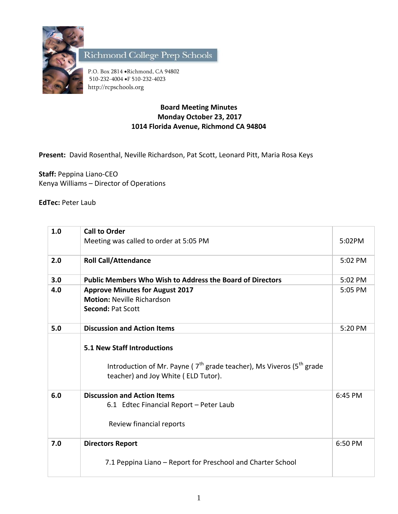

Richmond College Prep Schools

P.O. Box 2814 . Richmond, CA 94802 510-232-4004 F 510-232-4023 http://rcpschools.org

## **Board Meeting Minutes Monday October 23, 2017 1014 Florida Avenue, Richmond CA 94804**

**Present:** David Rosenthal, Neville Richardson, Pat Scott, Leonard Pitt, Maria Rosa Keys

**Staff:** Peppina Liano-CEO Kenya Williams – Director of Operations

**EdTec:** Peter Laub

| 1.0 | <b>Call to Order</b>                                                                                                                                    |         |
|-----|---------------------------------------------------------------------------------------------------------------------------------------------------------|---------|
|     | Meeting was called to order at 5:05 PM                                                                                                                  | 5:02PM  |
| 2.0 | <b>Roll Call/Attendance</b>                                                                                                                             | 5:02 PM |
| 3.0 | <b>Public Members Who Wish to Address the Board of Directors</b>                                                                                        | 5:02 PM |
| 4.0 | <b>Approve Minutes for August 2017</b>                                                                                                                  | 5:05 PM |
|     | <b>Motion: Neville Richardson</b>                                                                                                                       |         |
|     | <b>Second: Pat Scott</b>                                                                                                                                |         |
| 5.0 | <b>Discussion and Action Items</b>                                                                                                                      | 5:20 PM |
|     | <b>5.1 New Staff Introductions</b><br>Introduction of Mr. Payne ( $7th$ grade teacher), Ms Viveros ( $5th$ grade<br>teacher) and Joy White (ELD Tutor). |         |
| 6.0 | <b>Discussion and Action Items</b>                                                                                                                      | 6:45 PM |
|     | 6.1 Edtec Financial Report - Peter Laub                                                                                                                 |         |
|     | Review financial reports                                                                                                                                |         |
| 7.0 | <b>Directors Report</b>                                                                                                                                 | 6:50 PM |
|     | 7.1 Peppina Liano - Report for Preschool and Charter School                                                                                             |         |